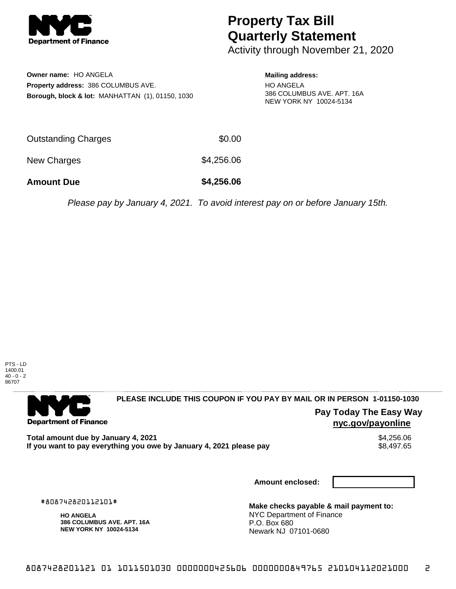

# **Property Tax Bill Quarterly Statement**

Activity through November 21, 2020

**Owner name:** HO ANGELA **Property address:** 386 COLUMBUS AVE. **Borough, block & lot:** MANHATTAN (1), 01150, 1030

### **Mailing address:**

HO ANGELA 386 COLUMBUS AVE. APT. 16A NEW YORK NY 10024-5134

| <b>Amount Due</b>          | \$4,256.06 |
|----------------------------|------------|
| New Charges                | \$4,256.06 |
| <b>Outstanding Charges</b> | \$0.00     |

Please pay by January 4, 2021. To avoid interest pay on or before January 15th.



. . . . . . . . . . . . . . . .

## 

**Department of Finance** 

**PLEASE INCLUDE THIS COUPON IF YOU PAY BY MAIL OR IN PERSON 1-01150-1030** 

## **Pay Today The Easy Way nyc.gov/payonline**

Total amount due by January 4, 2021<br>If you want to pay everything you owe by January 4, 2021 please pay **show that the set of the set of the set of** If you want to pay everything you owe by January 4, 2021 please pay

**Amount enclosed:**

#808742820112101#

**HO ANGELA 386 COLUMBUS AVE. APT. 16A NEW YORK NY 10024-5134**

**Make checks payable & mail payment to:** NYC Department of Finance P.O. Box 680 Newark NJ 07101-0680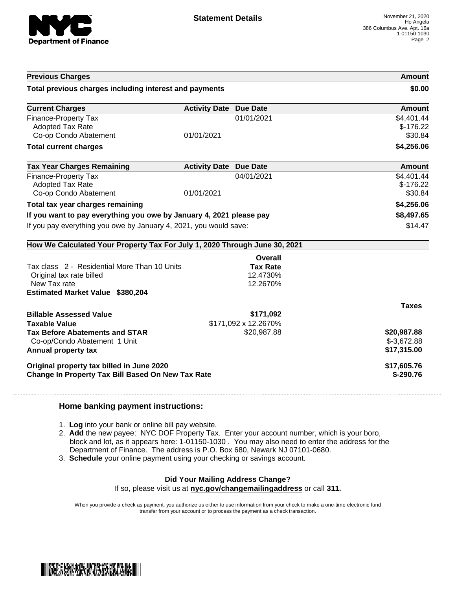

| <b>Previous Charges</b>                                                    |                               |                      | <b>Amount</b>               |
|----------------------------------------------------------------------------|-------------------------------|----------------------|-----------------------------|
| Total previous charges including interest and payments                     |                               |                      | \$0.00                      |
| <b>Current Charges</b>                                                     | <b>Activity Date Due Date</b> |                      | <b>Amount</b>               |
| Finance-Property Tax<br><b>Adopted Tax Rate</b>                            |                               | 01/01/2021           | \$4,401.44<br>$$-176.22$    |
| Co-op Condo Abatement                                                      | 01/01/2021                    |                      | \$30.84                     |
| <b>Total current charges</b>                                               |                               |                      | \$4,256.06                  |
| <b>Tax Year Charges Remaining</b>                                          | <b>Activity Date Due Date</b> |                      | Amount                      |
| Finance-Property Tax                                                       |                               | 04/01/2021           | \$4,401.44                  |
| <b>Adopted Tax Rate</b><br>Co-op Condo Abatement                           | 01/01/2021                    |                      | $$-176.22$<br>\$30.84       |
| Total tax year charges remaining                                           |                               |                      | \$4,256.06                  |
| If you want to pay everything you owe by January 4, 2021 please pay        |                               | \$8,497.65           |                             |
| If you pay everything you owe by January 4, 2021, you would save:          |                               | \$14.47              |                             |
| How We Calculated Your Property Tax For July 1, 2020 Through June 30, 2021 |                               |                      |                             |
|                                                                            |                               | Overall              |                             |
| Tax class 2 - Residential More Than 10 Units                               |                               | <b>Tax Rate</b>      |                             |
| Original tax rate billed<br>New Tax rate                                   |                               | 12.4730%<br>12.2670% |                             |
| <b>Estimated Market Value \$380,204</b>                                    |                               |                      |                             |
|                                                                            |                               |                      | <b>Taxes</b>                |
| <b>Billable Assessed Value</b>                                             |                               | \$171,092            |                             |
| <b>Taxable Value</b>                                                       |                               | \$171,092 x 12.2670% |                             |
| <b>Tax Before Abatements and STAR</b>                                      |                               | \$20,987.88          | \$20,987.88                 |
| Co-op/Condo Abatement 1 Unit<br>Annual property tax                        |                               |                      | $$-3,672.88$<br>\$17,315.00 |
|                                                                            |                               |                      |                             |
| Original property tax billed in June 2020                                  |                               |                      | \$17,605.76                 |
| <b>Change In Property Tax Bill Based On New Tax Rate</b>                   |                               |                      | $$-290.76$                  |

### **Home banking payment instructions:**

- 1. **Log** into your bank or online bill pay website.
- 2. **Add** the new payee: NYC DOF Property Tax. Enter your account number, which is your boro, block and lot, as it appears here: 1-01150-1030 . You may also need to enter the address for the Department of Finance. The address is P.O. Box 680, Newark NJ 07101-0680.
- 3. **Schedule** your online payment using your checking or savings account.

## **Did Your Mailing Address Change?**

If so, please visit us at **nyc.gov/changemailingaddress** or call **311.**

When you provide a check as payment, you authorize us either to use information from your check to make a one-time electronic fund transfer from your account or to process the payment as a check transaction.